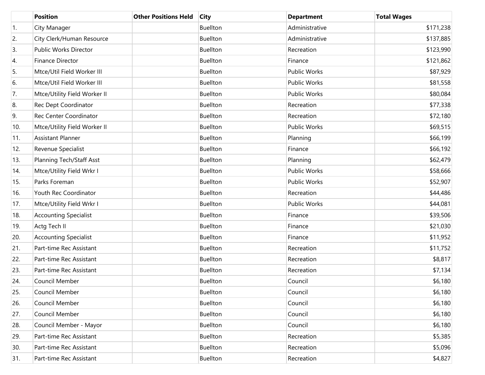|     | <b>Position</b>              | <b>Other Positions Held</b> | <b>City</b>     | <b>Department</b>   | <b>Total Wages</b> |
|-----|------------------------------|-----------------------------|-----------------|---------------------|--------------------|
| 1.  | City Manager                 |                             | <b>Buellton</b> | Administrative      | \$171,238          |
| 2.  | City Clerk/Human Resource    |                             | Buellton        | Administrative      | \$137,885          |
| 3.  | Public Works Director        |                             | <b>Buellton</b> | Recreation          | \$123,990          |
| 4.  | Finance Director             |                             | Buellton        | Finance             | \$121,862          |
| 5.  | Mtce/Util Field Worker III   |                             | <b>Buellton</b> | <b>Public Works</b> | \$87,929           |
| 6.  | Mtce/Util Field Worker III   |                             | Buellton        | Public Works        | \$81,558           |
| 7.  | Mtce/Utility Field Worker II |                             | <b>Buellton</b> | Public Works        | \$80,084           |
| 8.  | Rec Dept Coordinator         |                             | Buellton        | Recreation          | \$77,338           |
| 9.  | Rec Center Coordinator       |                             | <b>Buellton</b> | Recreation          | \$72,180           |
| 10. | Mtce/Utility Field Worker II |                             | Buellton        | <b>Public Works</b> | \$69,515           |
| 11. | <b>Assistant Planner</b>     |                             | <b>Buellton</b> | Planning            | \$66,199           |
| 12. | Revenue Specialist           |                             | Buellton        | Finance             | \$66,192           |
| 13. | Planning Tech/Staff Asst     |                             | <b>Buellton</b> | Planning            | \$62,479           |
| 14. | Mtce/Utility Field Wrkr I    |                             | Buellton        | <b>Public Works</b> | \$58,666           |
| 15. | Parks Foreman                |                             | <b>Buellton</b> | Public Works        | \$52,907           |
| 16. | Youth Rec Coordinator        |                             | Buellton        | Recreation          | \$44,486           |
| 17. | Mtce/Utility Field Wrkr I    |                             | <b>Buellton</b> | Public Works        | \$44,081           |
| 18. | <b>Accounting Specialist</b> |                             | Buellton        | Finance             | \$39,506           |
| 19. | Actg Tech II                 |                             | <b>Buellton</b> | Finance             | \$21,030           |
| 20. | <b>Accounting Specialist</b> |                             | Buellton        | Finance             | \$11,952           |
| 21. | Part-time Rec Assistant      |                             | <b>Buellton</b> | Recreation          | \$11,752           |
| 22. | Part-time Rec Assistant      |                             | Buellton        | Recreation          | \$8,817            |
| 23. | Part-time Rec Assistant      |                             | <b>Buellton</b> | Recreation          | \$7,134            |
| 24. | Council Member               |                             | <b>Buellton</b> | Council             | \$6,180            |
| 25. | Council Member               |                             | Buellton        | Council             | \$6,180            |
| 26. | Council Member               |                             | Buellton        | Council             | \$6,180            |
| 27. | Council Member               |                             | Buellton        | Council             | \$6,180            |
| 28. | Council Member - Mayor       |                             | Buellton        | Council             | \$6,180            |
| 29. | Part-time Rec Assistant      |                             | Buellton        | Recreation          | \$5,385            |
| 30. | Part-time Rec Assistant      |                             | Buellton        | Recreation          | \$5,096            |
| 31. | Part-time Rec Assistant      |                             | Buellton        | Recreation          | \$4,827            |